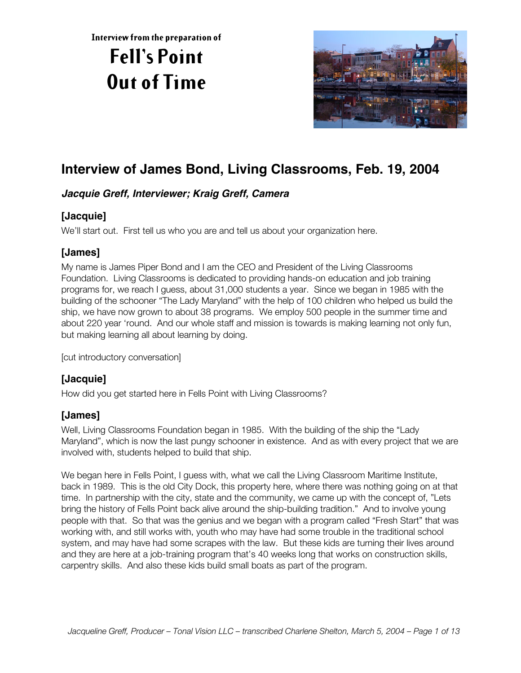**Interview from the preparation of**

# **Fell's Point Out of Time**



# **Interview of James Bond, Living Classrooms, Feb. 19, 2004**

#### **Jacquie Greff, Interviewer; Kraig Greff, Camera**

# **[Jacquie]**

We'll start out. First tell us who you are and tell us about your organization here.

# **[James]**

My name is James Piper Bond and I am the CEO and President of the Living Classrooms Foundation. Living Classrooms is dedicated to providing hands-on education and job training programs for, we reach I guess, about 31,000 students a year. Since we began in 1985 with the building of the schooner "The Lady Maryland" with the help of 100 children who helped us build the ship, we have now grown to about 38 programs. We employ 500 people in the summer time and about 220 year 'round. And our whole staff and mission is towards is making learning not only fun, but making learning all about learning by doing.

[cut introductory conversation]

# **[Jacquie]**

How did you get started here in Fells Point with Living Classrooms?

#### **[James]**

Well, Living Classrooms Foundation began in 1985. With the building of the ship the "Lady Maryland", which is now the last pungy schooner in existence. And as with every project that we are involved with, students helped to build that ship.

We began here in Fells Point, I guess with, what we call the Living Classroom Maritime Institute, back in 1989. This is the old City Dock, this property here, where there was nothing going on at that time. In partnership with the city, state and the community, we came up with the concept of, "Lets bring the history of Fells Point back alive around the ship-building tradition." And to involve young people with that. So that was the genius and we began with a program called "Fresh Start" that was working with, and still works with, youth who may have had some trouble in the traditional school system, and may have had some scrapes with the law. But these kids are turning their lives around and they are here at a job-training program that's 40 weeks long that works on construction skills, carpentry skills. And also these kids build small boats as part of the program.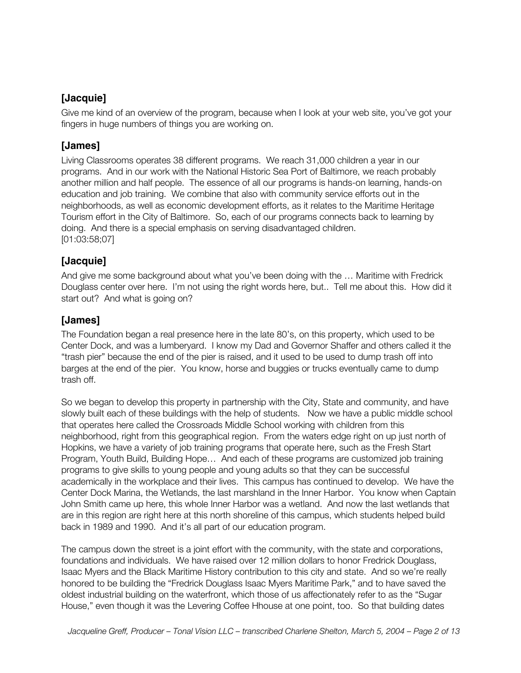#### **[Jacquie]**

Give me kind of an overview of the program, because when I look at your web site, you've got your fingers in huge numbers of things you are working on.

#### **[James]**

Living Classrooms operates 38 different programs. We reach 31,000 children a year in our programs. And in our work with the National Historic Sea Port of Baltimore, we reach probably another million and half people. The essence of all our programs is hands-on learning, hands-on education and job training. We combine that also with community service efforts out in the neighborhoods, as well as economic development efforts, as it relates to the Maritime Heritage Tourism effort in the City of Baltimore. So, each of our programs connects back to learning by doing. And there is a special emphasis on serving disadvantaged children. [01:03:58;07]

#### **[Jacquie]**

And give me some background about what you've been doing with the … Maritime with Fredrick Douglass center over here. I'm not using the right words here, but.. Tell me about this. How did it start out? And what is going on?

#### **[James]**

The Foundation began a real presence here in the late 80's, on this property, which used to be Center Dock, and was a lumberyard. I know my Dad and Governor Shaffer and others called it the "trash pier" because the end of the pier is raised, and it used to be used to dump trash off into barges at the end of the pier. You know, horse and buggies or trucks eventually came to dump trash off.

So we began to develop this property in partnership with the City, State and community, and have slowly built each of these buildings with the help of students. Now we have a public middle school that operates here called the Crossroads Middle School working with children from this neighborhood, right from this geographical region. From the waters edge right on up just north of Hopkins, we have a variety of job training programs that operate here, such as the Fresh Start Program, Youth Build, Building Hope… And each of these programs are customized job training programs to give skills to young people and young adults so that they can be successful academically in the workplace and their lives. This campus has continued to develop. We have the Center Dock Marina, the Wetlands, the last marshland in the Inner Harbor. You know when Captain John Smith came up here, this whole Inner Harbor was a wetland. And now the last wetlands that are in this region are right here at this north shoreline of this campus, which students helped build back in 1989 and 1990. And it's all part of our education program.

The campus down the street is a joint effort with the community, with the state and corporations, foundations and individuals. We have raised over 12 million dollars to honor Fredrick Douglass, Isaac Myers and the Black Maritime History contribution to this city and state. And so we're really honored to be building the "Fredrick Douglass Isaac Myers Maritime Park," and to have saved the oldest industrial building on the waterfront, which those of us affectionately refer to as the "Sugar House," even though it was the Levering Coffee Hhouse at one point, too. So that building dates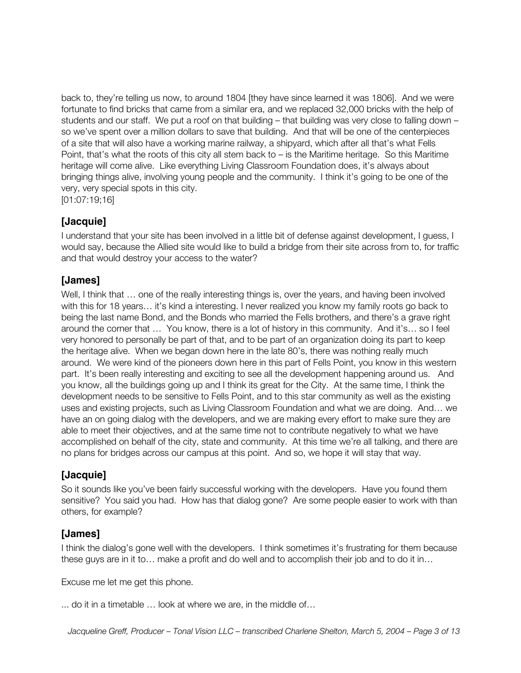back to, they're telling us now, to around 1804 [they have since learned it was 1806]. And we were fortunate to find bricks that came from a similar era, and we replaced 32,000 bricks with the help of students and our staff. We put a roof on that building – that building was very close to falling down – so we've spent over a million dollars to save that building. And that will be one of the centerpieces of a site that will also have a working marine railway, a shipyard, which after all that's what Fells Point, that's what the roots of this city all stem back to – is the Maritime heritage. So this Maritime heritage will come alive. Like everything Living Classroom Foundation does, it's always about bringing things alive, involving young people and the community. I think it's going to be one of the very, very special spots in this city.

[01:07:19;16]

#### **[Jacquie]**

I understand that your site has been involved in a little bit of defense against development, I guess, I would say, because the Allied site would like to build a bridge from their site across from to, for traffic and that would destroy your access to the water?

#### **[James]**

Well, I think that ... one of the really interesting things is, over the years, and having been involved with this for 18 years… it's kind a interesting. I never realized you know my family roots go back to being the last name Bond, and the Bonds who married the Fells brothers, and there's a grave right around the corner that … You know, there is a lot of history in this community. And it's… so I feel very honored to personally be part of that, and to be part of an organization doing its part to keep the heritage alive. When we began down here in the late 80's, there was nothing really much around. We were kind of the pioneers down here in this part of Fells Point, you know in this western part. It's been really interesting and exciting to see all the development happening around us. And you know, all the buildings going up and I think its great for the City. At the same time, I think the development needs to be sensitive to Fells Point, and to this star community as well as the existing uses and existing projects, such as Living Classroom Foundation and what we are doing. And… we have an on going dialog with the developers, and we are making every effort to make sure they are able to meet their objectives, and at the same time not to contribute negatively to what we have accomplished on behalf of the city, state and community. At this time we're all talking, and there are no plans for bridges across our campus at this point. And so, we hope it will stay that way.

#### **[Jacquie]**

So it sounds like you've been fairly successful working with the developers. Have you found them sensitive? You said you had. How has that dialog gone? Are some people easier to work with than others, for example?

#### **[James]**

I think the dialog's gone well with the developers. I think sometimes it's frustrating for them because these guys are in it to… make a profit and do well and to accomplish their job and to do it in…

Excuse me let me get this phone.

... do it in a timetable … look at where we are, in the middle of…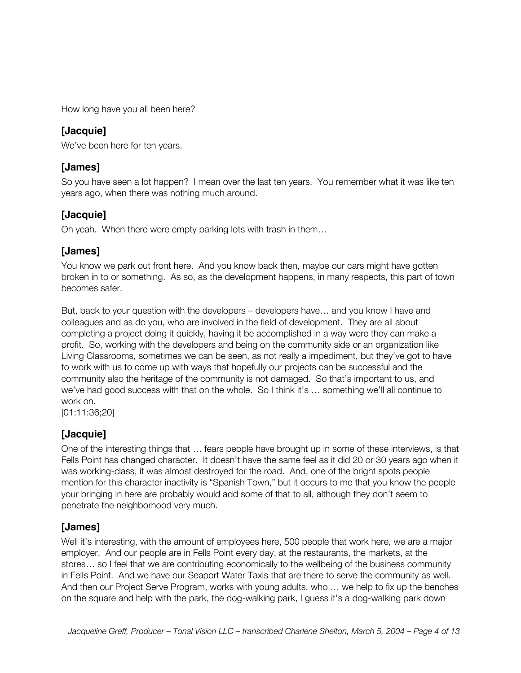How long have you all been here?

#### **[Jacquie]**

We've been here for ten years.

#### **[James]**

So you have seen a lot happen? I mean over the last ten years. You remember what it was like ten years ago, when there was nothing much around.

#### **[Jacquie]**

Oh yeah. When there were empty parking lots with trash in them…

#### **[James]**

You know we park out front here. And you know back then, maybe our cars might have gotten broken in to or something. As so, as the development happens, in many respects, this part of town becomes safer.

But, back to your question with the developers – developers have… and you know I have and colleagues and as do you, who are involved in the field of development. They are all about completing a project doing it quickly, having it be accomplished in a way were they can make a profit. So, working with the developers and being on the community side or an organization like Living Classrooms, sometimes we can be seen, as not really a impediment, but they've got to have to work with us to come up with ways that hopefully our projects can be successful and the community also the heritage of the community is not damaged. So that's important to us, and we've had good success with that on the whole. So I think it's … something we'll all continue to work on.

[01:11:36;20]

#### **[Jacquie]**

One of the interesting things that … fears people have brought up in some of these interviews, is that Fells Point has changed character. It doesn't have the same feel as it did 20 or 30 years ago when it was working-class, it was almost destroyed for the road. And, one of the bright spots people mention for this character inactivity is "Spanish Town," but it occurs to me that you know the people your bringing in here are probably would add some of that to all, although they don't seem to penetrate the neighborhood very much.

#### **[James]**

Well it's interesting, with the amount of employees here, 500 people that work here, we are a major employer. And our people are in Fells Point every day, at the restaurants, the markets, at the stores… so I feel that we are contributing economically to the wellbeing of the business community in Fells Point. And we have our Seaport Water Taxis that are there to serve the community as well. And then our Project Serve Program, works with young adults, who … we help to fix up the benches on the square and help with the park, the dog-walking park, I guess it's a dog-walking park down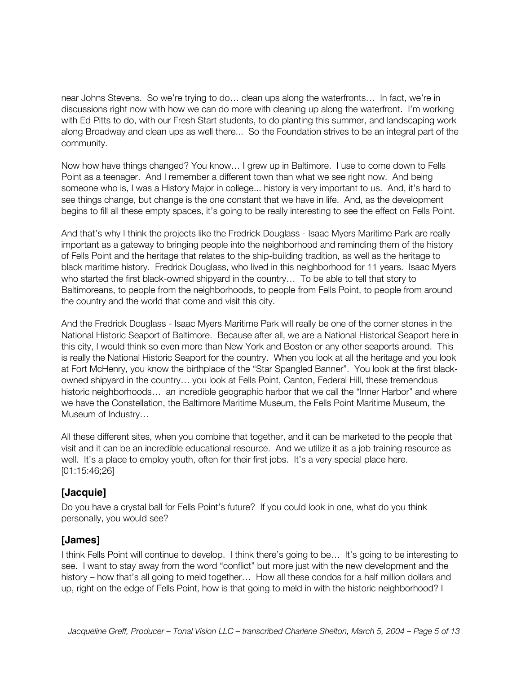near Johns Stevens. So we're trying to do… clean ups along the waterfronts… In fact, we're in discussions right now with how we can do more with cleaning up along the waterfront. I'm working with Ed Pitts to do, with our Fresh Start students, to do planting this summer, and landscaping work along Broadway and clean ups as well there... So the Foundation strives to be an integral part of the community.

Now how have things changed? You know… I grew up in Baltimore. I use to come down to Fells Point as a teenager. And I remember a different town than what we see right now. And being someone who is, I was a History Major in college... history is very important to us. And, it's hard to see things change, but change is the one constant that we have in life. And, as the development begins to fill all these empty spaces, it's going to be really interesting to see the effect on Fells Point.

And that's why I think the projects like the Fredrick Douglass - Isaac Myers Maritime Park are really important as a gateway to bringing people into the neighborhood and reminding them of the history of Fells Point and the heritage that relates to the ship-building tradition, as well as the heritage to black maritime history. Fredrick Douglass, who lived in this neighborhood for 11 years. Isaac Myers who started the first black-owned shipyard in the country… To be able to tell that story to Baltimoreans, to people from the neighborhoods, to people from Fells Point, to people from around the country and the world that come and visit this city.

And the Fredrick Douglass - Isaac Myers Maritime Park will really be one of the corner stones in the National Historic Seaport of Baltimore. Because after all, we are a National Historical Seaport here in this city, I would think so even more than New York and Boston or any other seaports around. This is really the National Historic Seaport for the country. When you look at all the heritage and you look at Fort McHenry, you know the birthplace of the "Star Spangled Banner". You look at the first blackowned shipyard in the country… you look at Fells Point, Canton, Federal Hill, these tremendous historic neighborhoods... an incredible geographic harbor that we call the "Inner Harbor" and where we have the Constellation, the Baltimore Maritime Museum, the Fells Point Maritime Museum, the Museum of Industry…

All these different sites, when you combine that together, and it can be marketed to the people that visit and it can be an incredible educational resource. And we utilize it as a job training resource as well. It's a place to employ youth, often for their first jobs. It's a very special place here. [01:15:46;26]

#### **[Jacquie]**

Do you have a crystal ball for Fells Point's future? If you could look in one, what do you think personally, you would see?

#### **[James]**

I think Fells Point will continue to develop. I think there's going to be… It's going to be interesting to see. I want to stay away from the word "conflict" but more just with the new development and the history – how that's all going to meld together... How all these condos for a half million dollars and up, right on the edge of Fells Point, how is that going to meld in with the historic neighborhood? I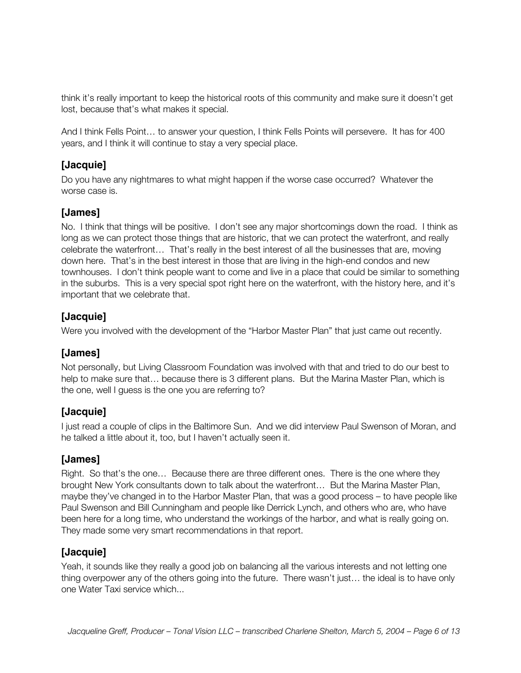think it's really important to keep the historical roots of this community and make sure it doesn't get lost, because that's what makes it special.

And I think Fells Point… to answer your question, I think Fells Points will persevere. It has for 400 years, and I think it will continue to stay a very special place.

#### **[Jacquie]**

Do you have any nightmares to what might happen if the worse case occurred? Whatever the worse case is.

#### **[James]**

No. I think that things will be positive. I don't see any major shortcomings down the road. I think as long as we can protect those things that are historic, that we can protect the waterfront, and really celebrate the waterfront… That's really in the best interest of all the businesses that are, moving down here. That's in the best interest in those that are living in the high-end condos and new townhouses. I don't think people want to come and live in a place that could be similar to something in the suburbs. This is a very special spot right here on the waterfront, with the history here, and it's important that we celebrate that.

#### **[Jacquie]**

Were you involved with the development of the "Harbor Master Plan" that just came out recently.

#### **[James]**

Not personally, but Living Classroom Foundation was involved with that and tried to do our best to help to make sure that… because there is 3 different plans. But the Marina Master Plan, which is the one, well I guess is the one you are referring to?

#### **[Jacquie]**

I just read a couple of clips in the Baltimore Sun. And we did interview Paul Swenson of Moran, and he talked a little about it, too, but I haven't actually seen it.

#### **[James]**

Right. So that's the one… Because there are three different ones. There is the one where they brought New York consultants down to talk about the waterfront… But the Marina Master Plan, maybe they've changed in to the Harbor Master Plan, that was a good process – to have people like Paul Swenson and Bill Cunningham and people like Derrick Lynch, and others who are, who have been here for a long time, who understand the workings of the harbor, and what is really going on. They made some very smart recommendations in that report.

#### **[Jacquie]**

Yeah, it sounds like they really a good job on balancing all the various interests and not letting one thing overpower any of the others going into the future. There wasn't just… the ideal is to have only one Water Taxi service which...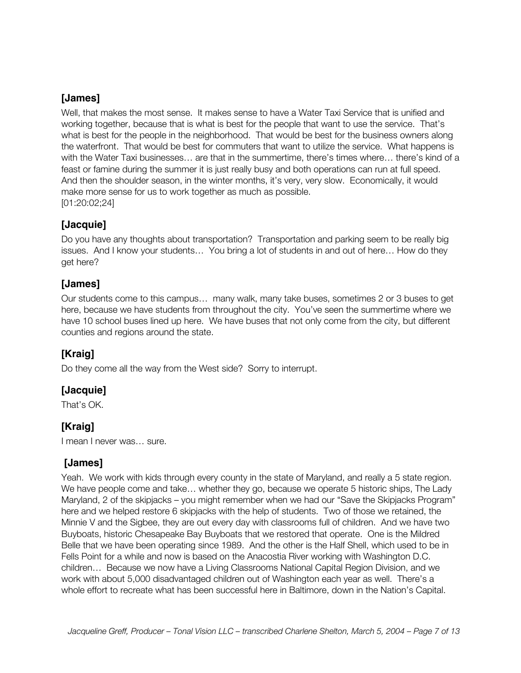#### **[James]**

Well, that makes the most sense. It makes sense to have a Water Taxi Service that is unified and working together, because that is what is best for the people that want to use the service. That's what is best for the people in the neighborhood. That would be best for the business owners along the waterfront. That would be best for commuters that want to utilize the service. What happens is with the Water Taxi businesses… are that in the summertime, there's times where… there's kind of a feast or famine during the summer it is just really busy and both operations can run at full speed. And then the shoulder season, in the winter months, it's very, very slow. Economically, it would make more sense for us to work together as much as possible. [01:20:02;24]

#### **[Jacquie]**

Do you have any thoughts about transportation? Transportation and parking seem to be really big issues. And I know your students… You bring a lot of students in and out of here… How do they get here?

#### **[James]**

Our students come to this campus… many walk, many take buses, sometimes 2 or 3 buses to get here, because we have students from throughout the city. You've seen the summertime where we have 10 school buses lined up here. We have buses that not only come from the city, but different counties and regions around the state.

# **[Kraig]**

Do they come all the way from the West side? Sorry to interrupt.

#### **[Jacquie]**

That's OK.

#### **[Kraig]**

I mean I never was… sure.

#### **[James]**

Yeah. We work with kids through every county in the state of Maryland, and really a 5 state region. We have people come and take… whether they go, because we operate 5 historic ships, The Lady Maryland, 2 of the skipjacks – you might remember when we had our "Save the Skipjacks Program" here and we helped restore 6 skipjacks with the help of students. Two of those we retained, the Minnie V and the Sigbee, they are out every day with classrooms full of children. And we have two Buyboats, historic Chesapeake Bay Buyboats that we restored that operate. One is the Mildred Belle that we have been operating since 1989. And the other is the Half Shell, which used to be in Fells Point for a while and now is based on the Anacostia River working with Washington D.C. children… Because we now have a Living Classrooms National Capital Region Division, and we work with about 5,000 disadvantaged children out of Washington each year as well. There's a whole effort to recreate what has been successful here in Baltimore, down in the Nation's Capital.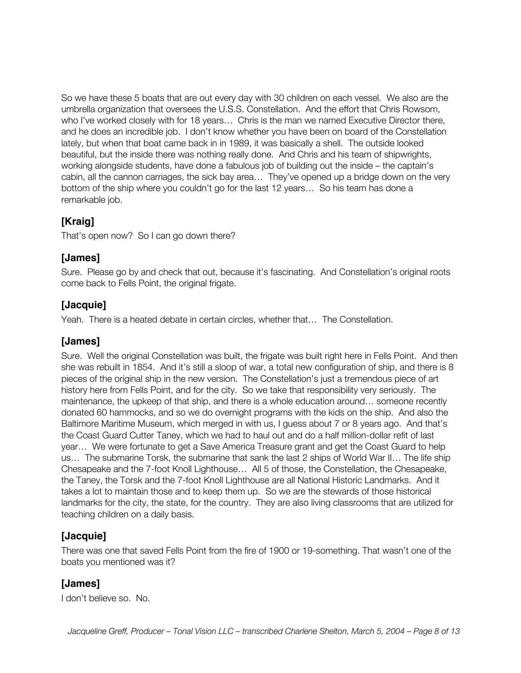So we have these 5 boats that are out every day with 30 children on each vessel. We also are the umbrella organization that oversees the U.S.S. Constellation. And the effort that Chris Rowsom, who I've worked closely with for 18 years… Chris is the man we named Executive Director there, and he does an incredible job. I don't know whether you have been on board of the Constellation lately, but when that boat came back in in 1989, it was basically a shell. The outside looked beautiful, but the inside there was nothing really done. And Chris and his team of shipwrights, working alongside students, have done a fabulous job of building out the inside – the captain's cabin, all the cannon carriages, the sick bay area… They've opened up a bridge down on the very bottom of the ship where you couldn't go for the last 12 years… So his team has done a remarkable job.

#### **[Kraig]**

That's open now? So I can go down there?

#### **[James]**

Sure. Please go by and check that out, because it's fascinating. And Constellation's original roots come back to Fells Point, the original frigate.

#### **[Jacquie]**

Yeah. There is a heated debate in certain circles, whether that… The Constellation.

#### **[James]**

Sure. Well the original Constellation was built, the frigate was built right here in Fells Point. And then she was rebuilt in 1854. And it's still a sloop of war, a total new configuration of ship, and there is 8 pieces of the original ship in the new version. The Constellation's just a tremendous piece of art history here from Fells Point, and for the city. So we take that responsibility very seriously. The maintenance, the upkeep of that ship, and there is a whole education around… someone recently donated 60 hammocks, and so we do overnight programs with the kids on the ship. And also the Baltimore Maritime Museum, which merged in with us, I guess about 7 or 8 years ago. And that's the Coast Guard Cutter Taney, which we had to haul out and do a half million-dollar refit of last year… We were fortunate to get a Save America Treasure grant and get the Coast Guard to help us… The submarine Torsk, the submarine that sank the last 2 ships of World War II… The life ship Chesapeake and the 7-foot Knoll Lighthouse… All 5 of those, the Constellation, the Chesapeake, the Taney, the Torsk and the 7-foot Knoll Lighthouse are all National Historic Landmarks. And it takes a lot to maintain those and to keep them up. So we are the stewards of those historical landmarks for the city, the state, for the country. They are also living classrooms that are utilized for teaching children on a daily basis.

# **[Jacquie]**

There was one that saved Fells Point from the fire of 1900 or 19-something. That wasn't one of the boats you mentioned was it?

#### **[James]**

I don't believe so. No.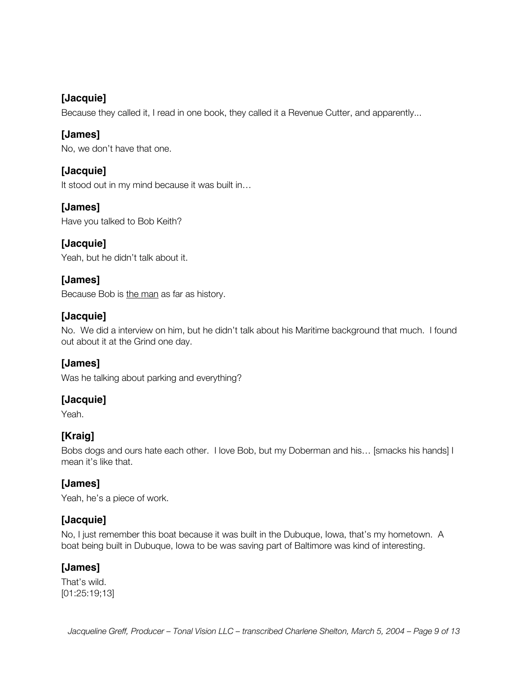#### **[Jacquie]**

Because they called it, I read in one book, they called it a Revenue Cutter, and apparently...

#### **[James]**

No, we don't have that one.

# **[Jacquie]**

It stood out in my mind because it was built in...

# **[James]**

Have you talked to Bob Keith?

# **[Jacquie]**

Yeah, but he didn't talk about it.

#### **[James]**

Because Bob is the man as far as history.

#### **[Jacquie]**

No. We did a interview on him, but he didn't talk about his Maritime background that much. I found out about it at the Grind one day.

#### **[James]**

Was he talking about parking and everything?

#### **[Jacquie]**

Yeah.

#### **[Kraig]**

Bobs dogs and ours hate each other. I love Bob, but my Doberman and his… [smacks his hands] I mean it's like that.

#### **[James]**

Yeah, he's a piece of work.

#### **[Jacquie]**

No, I just remember this boat because it was built in the Dubuque, Iowa, that's my hometown. A boat being built in Dubuque, Iowa to be was saving part of Baltimore was kind of interesting.

#### **[James]**

That's wild. [01:25:19;13]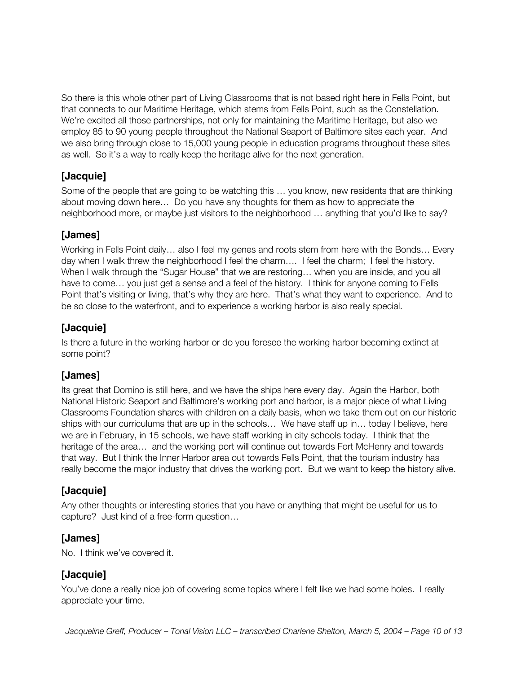So there is this whole other part of Living Classrooms that is not based right here in Fells Point, but that connects to our Maritime Heritage, which stems from Fells Point, such as the Constellation. We're excited all those partnerships, not only for maintaining the Maritime Heritage, but also we employ 85 to 90 young people throughout the National Seaport of Baltimore sites each year. And we also bring through close to 15,000 young people in education programs throughout these sites as well. So it's a way to really keep the heritage alive for the next generation.

# **[Jacquie]**

Some of the people that are going to be watching this … you know, new residents that are thinking about moving down here… Do you have any thoughts for them as how to appreciate the neighborhood more, or maybe just visitors to the neighborhood … anything that you'd like to say?

# **[James]**

Working in Fells Point daily… also I feel my genes and roots stem from here with the Bonds… Every day when I walk threw the neighborhood I feel the charm…. I feel the charm; I feel the history. When I walk through the "Sugar House" that we are restoring... when you are inside, and you all have to come... you just get a sense and a feel of the history. I think for anyone coming to Fells Point that's visiting or living, that's why they are here. That's what they want to experience. And to be so close to the waterfront, and to experience a working harbor is also really special.

# **[Jacquie]**

Is there a future in the working harbor or do you foresee the working harbor becoming extinct at some point?

#### **[James]**

Its great that Domino is still here, and we have the ships here every day. Again the Harbor, both National Historic Seaport and Baltimore's working port and harbor, is a major piece of what Living Classrooms Foundation shares with children on a daily basis, when we take them out on our historic ships with our curriculums that are up in the schools… We have staff up in… today I believe, here we are in February, in 15 schools, we have staff working in city schools today. I think that the heritage of the area… and the working port will continue out towards Fort McHenry and towards that way. But I think the Inner Harbor area out towards Fells Point, that the tourism industry has really become the major industry that drives the working port. But we want to keep the history alive.

#### **[Jacquie]**

Any other thoughts or interesting stories that you have or anything that might be useful for us to capture? Just kind of a free-form question…

#### **[James]**

No. I think we've covered it.

#### **[Jacquie]**

You've done a really nice job of covering some topics where I felt like we had some holes. I really appreciate your time.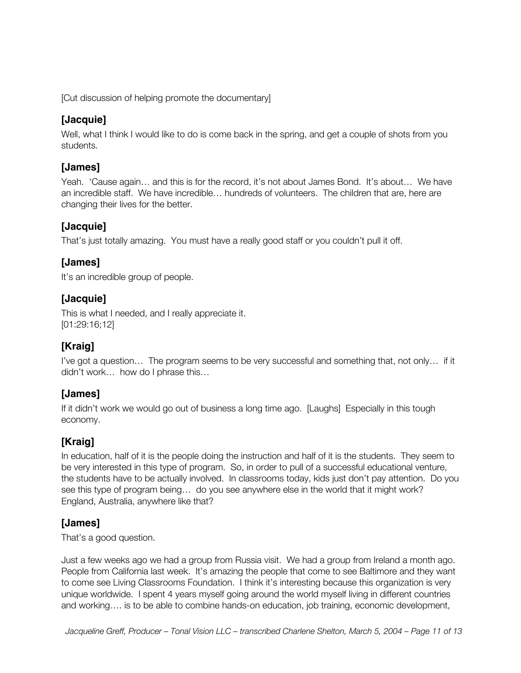[Cut discussion of helping promote the documentary]

#### **[Jacquie]**

Well, what I think I would like to do is come back in the spring, and get a couple of shots from you students.

#### **[James]**

Yeah. 'Cause again… and this is for the record, it's not about James Bond. It's about… We have an incredible staff. We have incredible… hundreds of volunteers. The children that are, here are changing their lives for the better.

#### **[Jacquie]**

That's just totally amazing. You must have a really good staff or you couldn't pull it off.

#### **[James]**

It's an incredible group of people.

#### **[Jacquie]**

This is what I needed, and I really appreciate it. [01:29:16;12]

# **[Kraig]**

I've got a question… The program seems to be very successful and something that, not only… if it didn't work… how do I phrase this…

#### **[James]**

If it didn't work we would go out of business a long time ago. [Laughs] Especially in this tough economy.

# **[Kraig]**

In education, half of it is the people doing the instruction and half of it is the students. They seem to be very interested in this type of program. So, in order to pull of a successful educational venture, the students have to be actually involved. In classrooms today, kids just don't pay attention. Do you see this type of program being… do you see anywhere else in the world that it might work? England, Australia, anywhere like that?

#### **[James]**

That's a good question.

Just a few weeks ago we had a group from Russia visit. We had a group from Ireland a month ago. People from California last week. It's amazing the people that come to see Baltimore and they want to come see Living Classrooms Foundation. I think it's interesting because this organization is very unique worldwide. I spent 4 years myself going around the world myself living in different countries and working…. is to be able to combine hands-on education, job training, economic development,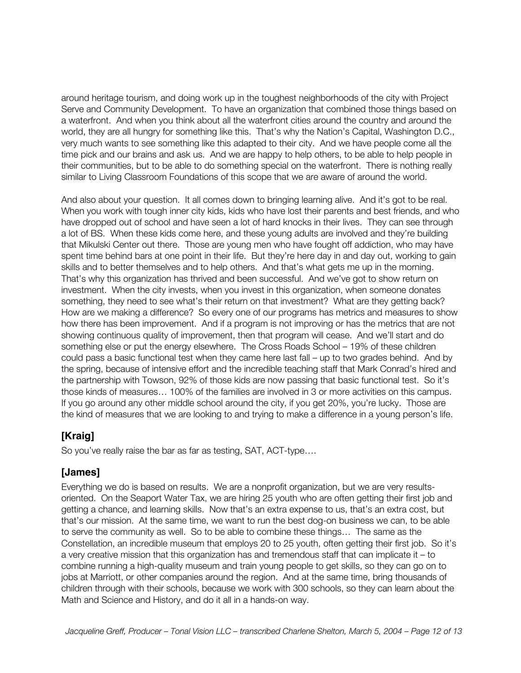around heritage tourism, and doing work up in the toughest neighborhoods of the city with Project Serve and Community Development. To have an organization that combined those things based on a waterfront. And when you think about all the waterfront cities around the country and around the world, they are all hungry for something like this. That's why the Nation's Capital, Washington D.C., very much wants to see something like this adapted to their city. And we have people come all the time pick and our brains and ask us. And we are happy to help others, to be able to help people in their communities, but to be able to do something special on the waterfront. There is nothing really similar to Living Classroom Foundations of this scope that we are aware of around the world.

And also about your question. It all comes down to bringing learning alive. And it's got to be real. When you work with tough inner city kids, kids who have lost their parents and best friends, and who have dropped out of school and have seen a lot of hard knocks in their lives. They can see through a lot of BS. When these kids come here, and these young adults are involved and they're building that Mikulski Center out there. Those are young men who have fought off addiction, who may have spent time behind bars at one point in their life. But they're here day in and day out, working to gain skills and to better themselves and to help others. And that's what gets me up in the morning. That's why this organization has thrived and been successful. And we've got to show return on investment. When the city invests, when you invest in this organization, when someone donates something, they need to see what's their return on that investment? What are they getting back? How are we making a difference? So every one of our programs has metrics and measures to show how there has been improvement. And if a program is not improving or has the metrics that are not showing continuous quality of improvement, then that program will cease. And we'll start and do something else or put the energy elsewhere. The Cross Roads School – 19% of these children could pass a basic functional test when they came here last fall – up to two grades behind. And by the spring, because of intensive effort and the incredible teaching staff that Mark Conrad's hired and the partnership with Towson, 92% of those kids are now passing that basic functional test. So it's those kinds of measures… 100% of the families are involved in 3 or more activities on this campus. If you go around any other middle school around the city, if you get 20%, you're lucky. Those are the kind of measures that we are looking to and trying to make a difference in a young person's life.

#### **[Kraig]**

So you've really raise the bar as far as testing, SAT, ACT-type….

#### **[James]**

Everything we do is based on results. We are a nonprofit organization, but we are very resultsoriented. On the Seaport Water Tax, we are hiring 25 youth who are often getting their first job and getting a chance, and learning skills. Now that's an extra expense to us, that's an extra cost, but that's our mission. At the same time, we want to run the best dog-on business we can, to be able to serve the community as well. So to be able to combine these things… The same as the Constellation, an incredible museum that employs 20 to 25 youth, often getting their first job. So it's a very creative mission that this organization has and tremendous staff that can implicate it – to combine running a high-quality museum and train young people to get skills, so they can go on to jobs at Marriott, or other companies around the region. And at the same time, bring thousands of children through with their schools, because we work with 300 schools, so they can learn about the Math and Science and History, and do it all in a hands-on way.